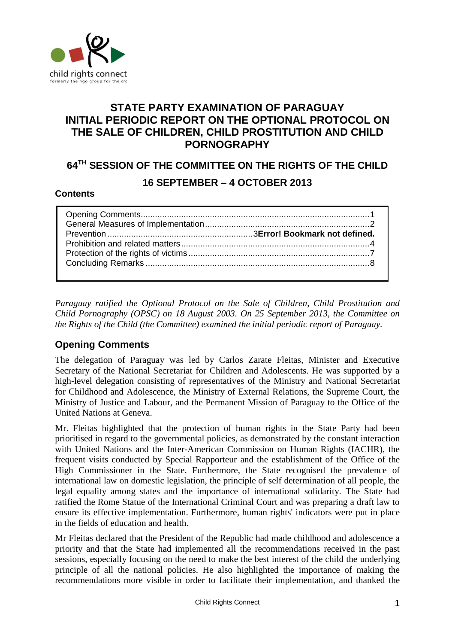

# **STATE PARTY EXAMINATION OF PARAGUAY INITIAL PERIODIC REPORT ON THE OPTIONAL PROTOCOL ON THE SALE OF CHILDREN, CHILD PROSTITUTION AND CHILD PORNOGRAPHY**

# **64TH SESSION OF THE COMMITTEE ON THE RIGHTS OF THE CHILD**

# **16 SEPTEMBER – 4 OCTOBER 2013**

#### **Contents**

*Paraguay ratified the Optional Protocol on the Sale of Children, Child Prostitution and Child Pornography (OPSC) on 18 August 2003. On 25 September 2013, the Committee on the Rights of the Child (the Committee) examined the initial periodic report of Paraguay.* 

# <span id="page-0-0"></span>**Opening Comments**

The delegation of Paraguay was led by Carlos Zarate Fleitas, Minister and Executive Secretary of the National Secretariat for Children and Adolescents. He was supported by a high-level delegation consisting of representatives of the Ministry and National Secretariat for Childhood and Adolescence, the Ministry of External Relations, the Supreme Court, the Ministry of Justice and Labour, and the Permanent Mission of Paraguay to the Office of the United Nations at Geneva.

Mr. Fleitas highlighted that the protection of human rights in the State Party had been prioritised in regard to the governmental policies, as demonstrated by the constant interaction with United Nations and the Inter-American Commission on Human Rights (IACHR), the frequent visits conducted by Special Rapporteur and the establishment of the Office of the High Commissioner in the State. Furthermore, the State recognised the prevalence of international law on domestic legislation, the principle of self determination of all people, the legal equality among states and the importance of international solidarity. The State had ratified the Rome Statue of the International Criminal Court and was preparing a draft law to ensure its effective implementation. Furthermore, human rights' indicators were put in place in the fields of education and health.

Mr Fleitas declared that the President of the Republic had made childhood and adolescence a priority and that the State had implemented all the recommendations received in the past sessions, especially focusing on the need to make the best interest of the child the underlying principle of all the national policies. He also highlighted the importance of making the recommendations more visible in order to facilitate their implementation, and thanked the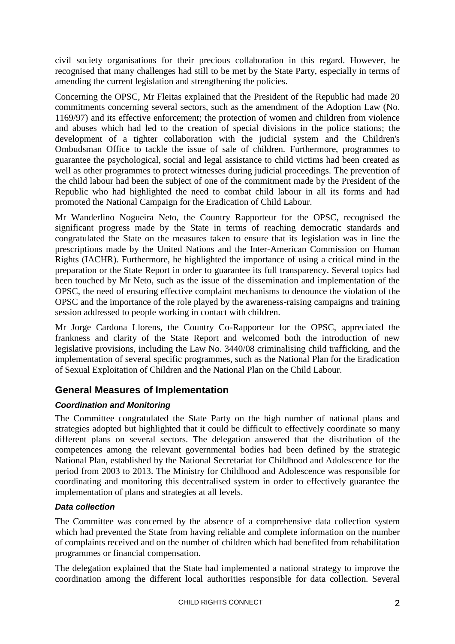civil society organisations for their precious collaboration in this regard. However, he recognised that many challenges had still to be met by the State Party, especially in terms of amending the current legislation and strengthening the policies.

Concerning the OPSC, Mr Fleitas explained that the President of the Republic had made 20 commitments concerning several sectors, such as the amendment of the Adoption Law (No. 1169/97) and its effective enforcement; the protection of women and children from violence and abuses which had led to the creation of special divisions in the police stations; the development of a tighter collaboration with the judicial system and the Children's Ombudsman Office to tackle the issue of sale of children. Furthermore, programmes to guarantee the psychological, social and legal assistance to child victims had been created as well as other programmes to protect witnesses during judicial proceedings. The prevention of the child labour had been the subject of one of the commitment made by the President of the Republic who had highlighted the need to combat child labour in all its forms and had promoted the National Campaign for the Eradication of Child Labour.

Mr Wanderlino Nogueira Neto, the Country Rapporteur for the OPSC, recognised the significant progress made by the State in terms of reaching democratic standards and congratulated the State on the measures taken to ensure that its legislation was in line the prescriptions made by the United Nations and the Inter-American Commission on Human Rights (IACHR). Furthermore, he highlighted the importance of using a critical mind in the preparation or the State Report in order to guarantee its full transparency. Several topics had been touched by Mr Neto, such as the issue of the dissemination and implementation of the OPSC, the need of ensuring effective complaint mechanisms to denounce the violation of the OPSC and the importance of the role played by the awareness-raising campaigns and training session addressed to people working in contact with children.

Mr Jorge Cardona Llorens, the Country Co-Rapporteur for the OPSC, appreciated the frankness and clarity of the State Report and welcomed both the introduction of new legislative provisions, including the Law No. 3440/08 criminalising child trafficking, and the implementation of several specific programmes, such as the National Plan for the Eradication of Sexual Exploitation of Children and the National Plan on the Child Labour.

# <span id="page-1-0"></span>**General Measures of Implementation**

# *Coordination and Monitoring*

The Committee congratulated the State Party on the high number of national plans and strategies adopted but highlighted that it could be difficult to effectively coordinate so many different plans on several sectors. The delegation answered that the distribution of the competences among the relevant governmental bodies had been defined by the strategic National Plan, established by the National Secretariat for Childhood and Adolescence for the period from 2003 to 2013. The Ministry for Childhood and Adolescence was responsible for coordinating and monitoring this decentralised system in order to effectively guarantee the implementation of plans and strategies at all levels.

### *Data collection*

The Committee was concerned by the absence of a comprehensive data collection system which had prevented the State from having reliable and complete information on the number of complaints received and on the number of children which had benefited from rehabilitation programmes or financial compensation.

The delegation explained that the State had implemented a national strategy to improve the coordination among the different local authorities responsible for data collection. Several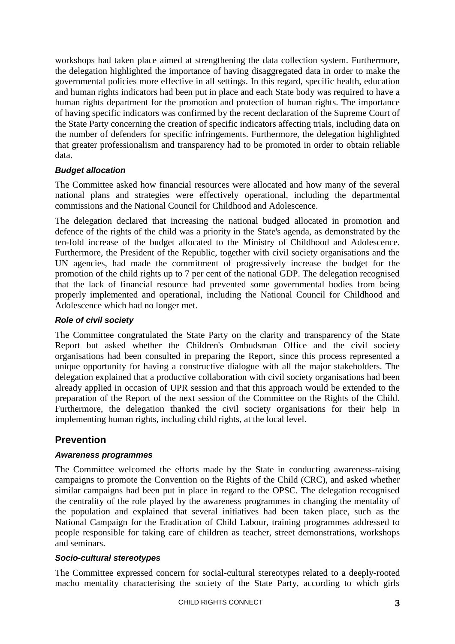workshops had taken place aimed at strengthening the data collection system. Furthermore, the delegation highlighted the importance of having disaggregated data in order to make the governmental policies more effective in all settings. In this regard, specific health, education and human rights indicators had been put in place and each State body was required to have a human rights department for the promotion and protection of human rights. The importance of having specific indicators was confirmed by the recent declaration of the Supreme Court of the State Party concerning the creation of specific indicators affecting trials, including data on the number of defenders for specific infringements. Furthermore, the delegation highlighted that greater professionalism and transparency had to be promoted in order to obtain reliable data.

### *Budget allocation*

The Committee asked how financial resources were allocated and how many of the several national plans and strategies were effectively operational, including the departmental commissions and the National Council for Childhood and Adolescence.

The delegation declared that increasing the national budged allocated in promotion and defence of the rights of the child was a priority in the State's agenda, as demonstrated by the ten-fold increase of the budget allocated to the Ministry of Childhood and Adolescence. Furthermore, the President of the Republic, together with civil society organisations and the UN agencies, had made the commitment of progressively increase the budget for the promotion of the child rights up to 7 per cent of the national GDP. The delegation recognised that the lack of financial resource had prevented some governmental bodies from being properly implemented and operational, including the National Council for Childhood and Adolescence which had no longer met.

#### *Role of civil society*

The Committee congratulated the State Party on the clarity and transparency of the State Report but asked whether the Children's Ombudsman Office and the civil society organisations had been consulted in preparing the Report, since this process represented a unique opportunity for having a constructive dialogue with all the major stakeholders. The delegation explained that a productive collaboration with civil society organisations had been already applied in occasion of UPR session and that this approach would be extended to the preparation of the Report of the next session of the Committee on the Rights of the Child. Furthermore, the delegation thanked the civil society organisations for their help in implementing human rights, including child rights, at the local level.

# **Prevention**

#### *Awareness programmes*

The Committee welcomed the efforts made by the State in conducting awareness-raising campaigns to promote the Convention on the Rights of the Child (CRC), and asked whether similar campaigns had been put in place in regard to the OPSC. The delegation recognised the centrality of the role played by the awareness programmes in changing the mentality of the population and explained that several initiatives had been taken place, such as the National Campaign for the Eradication of Child Labour, training programmes addressed to people responsible for taking care of children as teacher, street demonstrations, workshops and seminars.

#### *Socio-cultural stereotypes*

The Committee expressed concern for social-cultural stereotypes related to a deeply-rooted macho mentality characterising the society of the State Party, according to which girls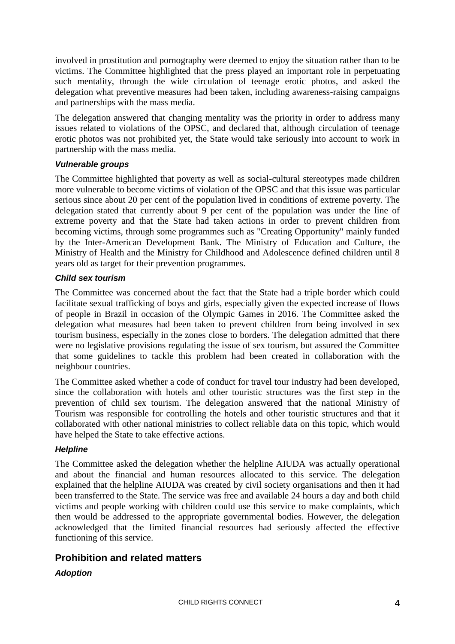involved in prostitution and pornography were deemed to enjoy the situation rather than to be victims. The Committee highlighted that the press played an important role in perpetuating such mentality, through the wide circulation of teenage erotic photos, and asked the delegation what preventive measures had been taken, including awareness-raising campaigns and partnerships with the mass media.

The delegation answered that changing mentality was the priority in order to address many issues related to violations of the OPSC, and declared that, although circulation of teenage erotic photos was not prohibited yet, the State would take seriously into account to work in partnership with the mass media.

### *Vulnerable groups*

The Committee highlighted that poverty as well as social-cultural stereotypes made children more vulnerable to become victims of violation of the OPSC and that this issue was particular serious since about 20 per cent of the population lived in conditions of extreme poverty. The delegation stated that currently about  $9$  per cent of the population was under the line of extreme poverty and that the State had taken actions in order to prevent children from becoming victims, through some programmes such as "Creating Opportunity" mainly funded by the Inter-American Development Bank. The Ministry of Education and Culture, the Ministry of Health and the Ministry for Childhood and Adolescence defined children until 8 years old as target for their prevention programmes.

#### *Child sex tourism*

The Committee was concerned about the fact that the State had a triple border which could facilitate sexual trafficking of boys and girls, especially given the expected increase of flows of people in Brazil in occasion of the Olympic Games in 2016. The Committee asked the delegation what measures had been taken to prevent children from being involved in sex tourism business, especially in the zones close to borders. The delegation admitted that there were no legislative provisions regulating the issue of sex tourism, but assured the Committee that some guidelines to tackle this problem had been created in collaboration with the neighbour countries.

The Committee asked whether a code of conduct for travel tour industry had been developed, since the collaboration with hotels and other touristic structures was the first step in the prevention of child sex tourism. The delegation answered that the national Ministry of Tourism was responsible for controlling the hotels and other touristic structures and that it collaborated with other national ministries to collect reliable data on this topic, which would have helped the State to take effective actions.

### *Helpline*

The Committee asked the delegation whether the helpline AIUDA was actually operational and about the financial and human resources allocated to this service. The delegation explained that the helpline AIUDA was created by civil society organisations and then it had been transferred to the State. The service was free and available 24 hours a day and both child victims and people working with children could use this service to make complaints, which then would be addressed to the appropriate governmental bodies. However, the delegation acknowledged that the limited financial resources had seriously affected the effective functioning of this service.

# **Prohibition and related matters**

### *Adoption*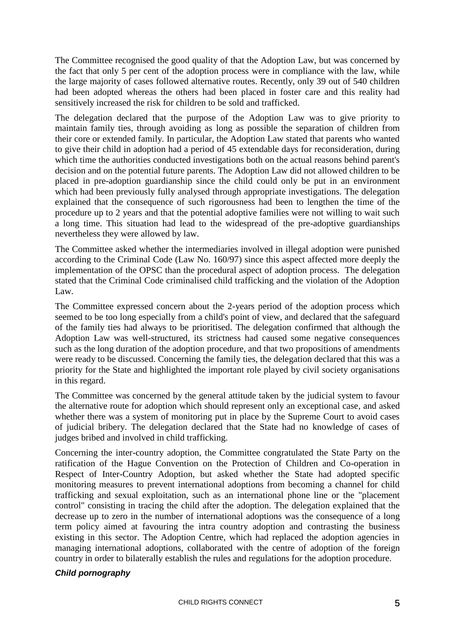The Committee recognised the good quality of that the Adoption Law, but was concerned by the fact that only 5 per cent of the adoption process were in compliance with the law, while the large majority of cases followed alternative routes. Recently, only 39 out of 540 children had been adopted whereas the others had been placed in foster care and this reality had sensitively increased the risk for children to be sold and trafficked.

The delegation declared that the purpose of the Adoption Law was to give priority to maintain family ties, through avoiding as long as possible the separation of children from their core or extended family. In particular, the Adoption Law stated that parents who wanted to give their child in adoption had a period of 45 extendable days for reconsideration, during which time the authorities conducted investigations both on the actual reasons behind parent's decision and on the potential future parents. The Adoption Law did not allowed children to be placed in pre-adoption guardianship since the child could only be put in an environment which had been previously fully analysed through appropriate investigations. The delegation explained that the consequence of such rigorousness had been to lengthen the time of the procedure up to 2 years and that the potential adoptive families were not willing to wait such a long time. This situation had lead to the widespread of the pre-adoptive guardianships nevertheless they were allowed by law.

The Committee asked whether the intermediaries involved in illegal adoption were punished according to the Criminal Code (Law No. 160/97) since this aspect affected more deeply the implementation of the OPSC than the procedural aspect of adoption process. The delegation stated that the Criminal Code criminalised child trafficking and the violation of the Adoption Law.

The Committee expressed concern about the 2-years period of the adoption process which seemed to be too long especially from a child's point of view, and declared that the safeguard of the family ties had always to be prioritised. The delegation confirmed that although the Adoption Law was well-structured, its strictness had caused some negative consequences such as the long duration of the adoption procedure, and that two propositions of amendments were ready to be discussed. Concerning the family ties, the delegation declared that this was a priority for the State and highlighted the important role played by civil society organisations in this regard.

The Committee was concerned by the general attitude taken by the judicial system to favour the alternative route for adoption which should represent only an exceptional case, and asked whether there was a system of monitoring put in place by the Supreme Court to avoid cases of judicial bribery. The delegation declared that the State had no knowledge of cases of judges bribed and involved in child trafficking.

Concerning the inter-country adoption, the Committee congratulated the State Party on the ratification of the Hague Convention on the Protection of Children and Co-operation in Respect of Inter-Country Adoption, but asked whether the State had adopted specific monitoring measures to prevent international adoptions from becoming a channel for child trafficking and sexual exploitation, such as an international phone line or the "placement control" consisting in tracing the child after the adoption. The delegation explained that the decrease up to zero in the number of international adoptions was the consequence of a long term policy aimed at favouring the intra country adoption and contrasting the business existing in this sector. The Adoption Centre, which had replaced the adoption agencies in managing international adoptions, collaborated with the centre of adoption of the foreign country in order to bilaterally establish the rules and regulations for the adoption procedure.

#### *Child pornography*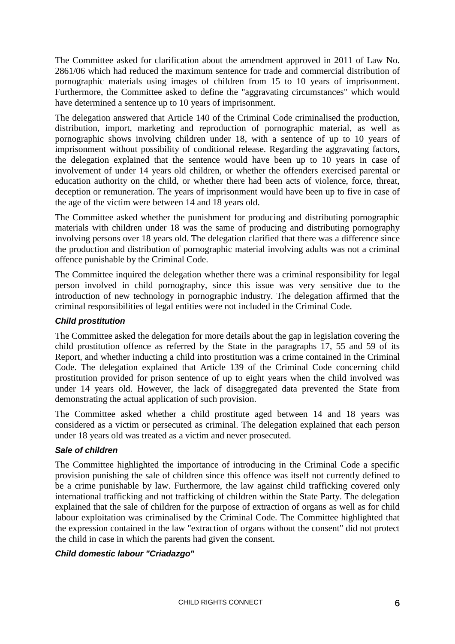The Committee asked for clarification about the amendment approved in 2011 of Law No. 2861/06 which had reduced the maximum sentence for trade and commercial distribution of pornographic materials using images of children from 15 to 10 years of imprisonment. Furthermore, the Committee asked to define the "aggravating circumstances" which would have determined a sentence up to 10 years of imprisonment.

The delegation answered that Article 140 of the Criminal Code criminalised the production, distribution, import, marketing and reproduction of pornographic material, as well as pornographic shows involving children under 18, with a sentence of up to 10 years of imprisonment without possibility of conditional release. Regarding the aggravating factors, the delegation explained that the sentence would have been up to 10 years in case of involvement of under 14 years old children, or whether the offenders exercised parental or education authority on the child, or whether there had been acts of violence, force, threat, deception or remuneration. The years of imprisonment would have been up to five in case of the age of the victim were between 14 and 18 years old.

The Committee asked whether the punishment for producing and distributing pornographic materials with children under 18 was the same of producing and distributing pornography involving persons over 18 years old. The delegation clarified that there was a difference since the production and distribution of pornographic material involving adults was not a criminal offence punishable by the Criminal Code.

The Committee inquired the delegation whether there was a criminal responsibility for legal person involved in child pornography, since this issue was very sensitive due to the introduction of new technology in pornographic industry. The delegation affirmed that the criminal responsibilities of legal entities were not included in the Criminal Code.

#### *Child prostitution*

The Committee asked the delegation for more details about the gap in legislation covering the child prostitution offence as referred by the State in the paragraphs 17, 55 and 59 of its Report, and whether inducting a child into prostitution was a crime contained in the Criminal Code. The delegation explained that Article 139 of the Criminal Code concerning child prostitution provided for prison sentence of up to eight years when the child involved was under 14 years old. However, the lack of disaggregated data prevented the State from demonstrating the actual application of such provision.

The Committee asked whether a child prostitute aged between 14 and 18 years was considered as a victim or persecuted as criminal. The delegation explained that each person under 18 years old was treated as a victim and never prosecuted.

### *Sale of children*

The Committee highlighted the importance of introducing in the Criminal Code a specific provision punishing the sale of children since this offence was itself not currently defined to be a crime punishable by law. Furthermore, the law against child trafficking covered only international trafficking and not trafficking of children within the State Party. The delegation explained that the sale of children for the purpose of extraction of organs as well as for child labour exploitation was criminalised by the Criminal Code. The Committee highlighted that the expression contained in the law "extraction of organs without the consent" did not protect the child in case in which the parents had given the consent.

#### *Child domestic labour "Criadazgo"*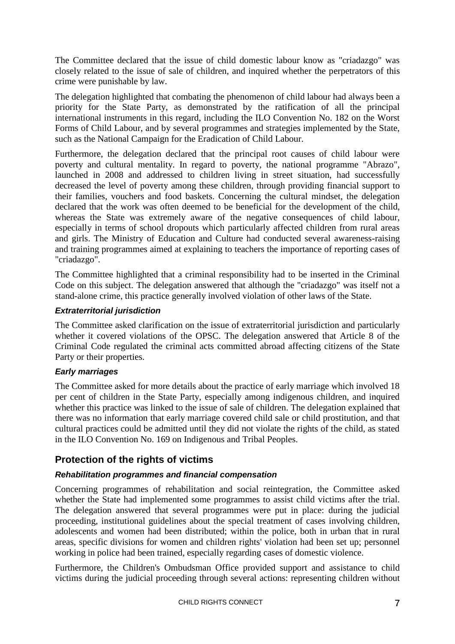The Committee declared that the issue of child domestic labour know as "criadazgo" was closely related to the issue of sale of children, and inquired whether the perpetrators of this crime were punishable by law.

The delegation highlighted that combating the phenomenon of child labour had always been a priority for the State Party, as demonstrated by the ratification of all the principal international instruments in this regard, including the ILO Convention No. 182 on the Worst Forms of Child Labour, and by several programmes and strategies implemented by the State, such as the National Campaign for the Eradication of Child Labour.

Furthermore, the delegation declared that the principal root causes of child labour were poverty and cultural mentality. In regard to poverty, the national programme "Abrazo", launched in 2008 and addressed to children living in street situation, had successfully decreased the level of poverty among these children, through providing financial support to their families, vouchers and food baskets. Concerning the cultural mindset, the delegation declared that the work was often deemed to be beneficial for the development of the child, whereas the State was extremely aware of the negative consequences of child labour, especially in terms of school dropouts which particularly affected children from rural areas and girls. The Ministry of Education and Culture had conducted several awareness-raising and training programmes aimed at explaining to teachers the importance of reporting cases of "criadazgo".

The Committee highlighted that a criminal responsibility had to be inserted in the Criminal Code on this subject. The delegation answered that although the "criadazgo" was itself not a stand-alone crime, this practice generally involved violation of other laws of the State.

### *Extraterritorial jurisdiction*

The Committee asked clarification on the issue of extraterritorial jurisdiction and particularly whether it covered violations of the OPSC. The delegation answered that Article 8 of the Criminal Code regulated the criminal acts committed abroad affecting citizens of the State Party or their properties.

### *Early marriages*

The Committee asked for more details about the practice of early marriage which involved 18 per cent of children in the State Party, especially among indigenous children, and inquired whether this practice was linked to the issue of sale of children. The delegation explained that there was no information that early marriage covered child sale or child prostitution, and that cultural practices could be admitted until they did not violate the rights of the child, as stated in the ILO Convention No. 169 on Indigenous and Tribal Peoples.

# **Protection of the rights of victims**

# *Rehabilitation programmes and financial compensation*

Concerning programmes of rehabilitation and social reintegration, the Committee asked whether the State had implemented some programmes to assist child victims after the trial. The delegation answered that several programmes were put in place: during the judicial proceeding, institutional guidelines about the special treatment of cases involving children, adolescents and women had been distributed; within the police, both in urban that in rural areas, specific divisions for women and children rights' violation had been set up; personnel working in police had been trained, especially regarding cases of domestic violence.

Furthermore, the Children's Ombudsman Office provided support and assistance to child victims during the judicial proceeding through several actions: representing children without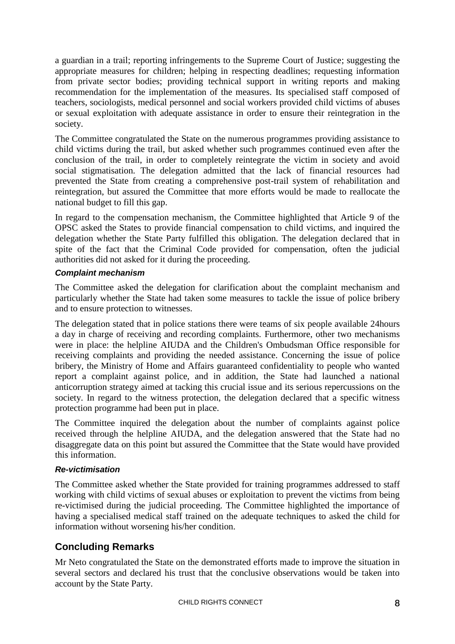a guardian in a trail; reporting infringements to the Supreme Court of Justice; suggesting the appropriate measures for children; helping in respecting deadlines; requesting information from private sector bodies; providing technical support in writing reports and making recommendation for the implementation of the measures. Its specialised staff composed of teachers, sociologists, medical personnel and social workers provided child victims of abuses or sexual exploitation with adequate assistance in order to ensure their reintegration in the society.

The Committee congratulated the State on the numerous programmes providing assistance to child victims during the trail, but asked whether such programmes continued even after the conclusion of the trail, in order to completely reintegrate the victim in society and avoid social stigmatisation. The delegation admitted that the lack of financial resources had prevented the State from creating a comprehensive post-trail system of rehabilitation and reintegration, but assured the Committee that more efforts would be made to reallocate the national budget to fill this gap.

In regard to the compensation mechanism, the Committee highlighted that Article 9 of the OPSC asked the States to provide financial compensation to child victims, and inquired the delegation whether the State Party fulfilled this obligation. The delegation declared that in spite of the fact that the Criminal Code provided for compensation, often the judicial authorities did not asked for it during the proceeding.

## *Complaint mechanism*

The Committee asked the delegation for clarification about the complaint mechanism and particularly whether the State had taken some measures to tackle the issue of police bribery and to ensure protection to witnesses.

The delegation stated that in police stations there were teams of six people available 24hours a day in charge of receiving and recording complaints. Furthermore, other two mechanisms were in place: the helpline AIUDA and the Children's Ombudsman Office responsible for receiving complaints and providing the needed assistance. Concerning the issue of police bribery, the Ministry of Home and Affairs guaranteed confidentiality to people who wanted report a complaint against police, and in addition, the State had launched a national anticorruption strategy aimed at tacking this crucial issue and its serious repercussions on the society. In regard to the witness protection, the delegation declared that a specific witness protection programme had been put in place.

The Committee inquired the delegation about the number of complaints against police received through the helpline AIUDA, and the delegation answered that the State had no disaggregate data on this point but assured the Committee that the State would have provided this information.

### *Re-victimisation*

The Committee asked whether the State provided for training programmes addressed to staff working with child victims of sexual abuses or exploitation to prevent the victims from being re-victimised during the judicial proceeding. The Committee highlighted the importance of having a specialised medical staff trained on the adequate techniques to asked the child for information without worsening his/her condition.

# **Concluding Remarks**

Mr Neto congratulated the State on the demonstrated efforts made to improve the situation in several sectors and declared his trust that the conclusive observations would be taken into account by the State Party.